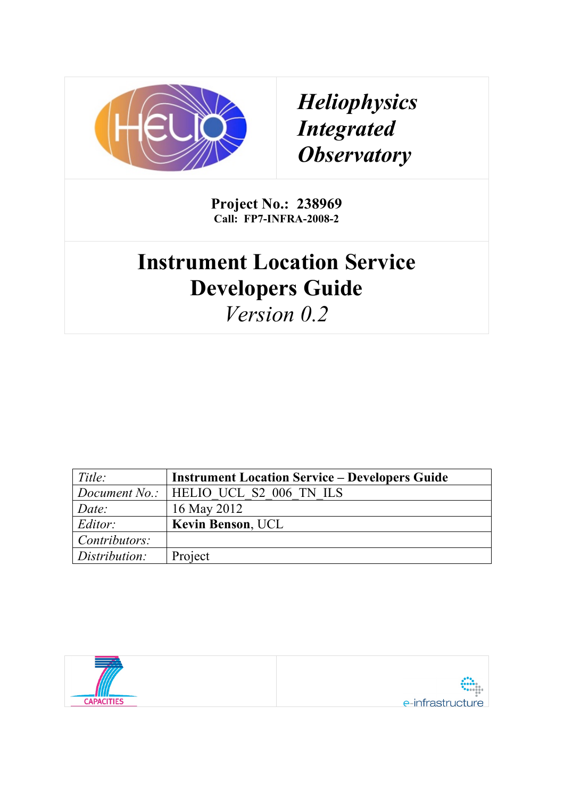

*Heliophysics Integrated Observatory*

**Project No.: 238969 Call: FP7-INFRA-2008-2**

# **Instrument Location Service Developers Guide**

*Version 0.2*

| Title:        | <b>Instrument Location Service – Developers Guide</b> |
|---------------|-------------------------------------------------------|
|               | Document No.:   HELIO UCL S2 006 TN ILS               |
| Date:         | 16 May 2012                                           |
| Editor:       | <b>Kevin Benson, UCL</b>                              |
| Contributors: |                                                       |
| Distribution: | Project                                               |

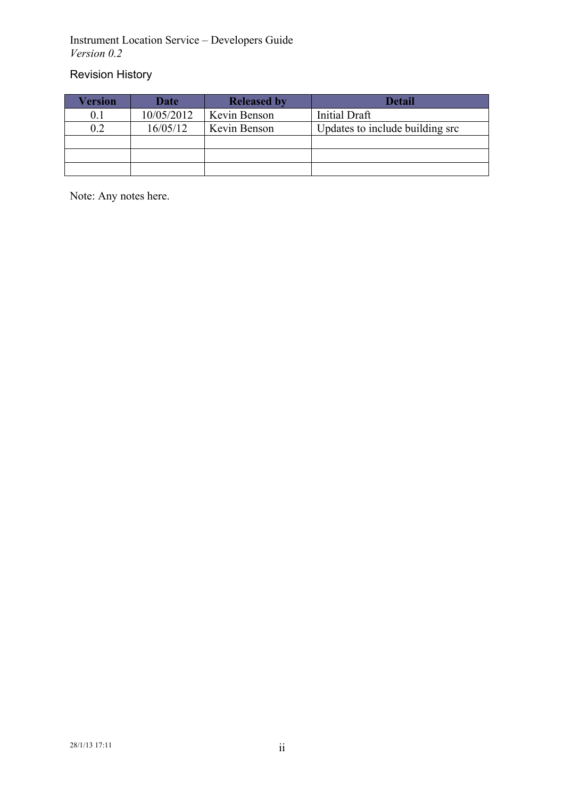### Revision History

| Version | <b>Date</b> | <b>Released by</b> | Detail                          |
|---------|-------------|--------------------|---------------------------------|
|         | 10/05/2012  | Kevin Benson       | <b>Initial Draft</b>            |
| 0.2     | 16/05/12    | Kevin Benson       | Updates to include building src |
|         |             |                    |                                 |
|         |             |                    |                                 |
|         |             |                    |                                 |

Note: Any notes here.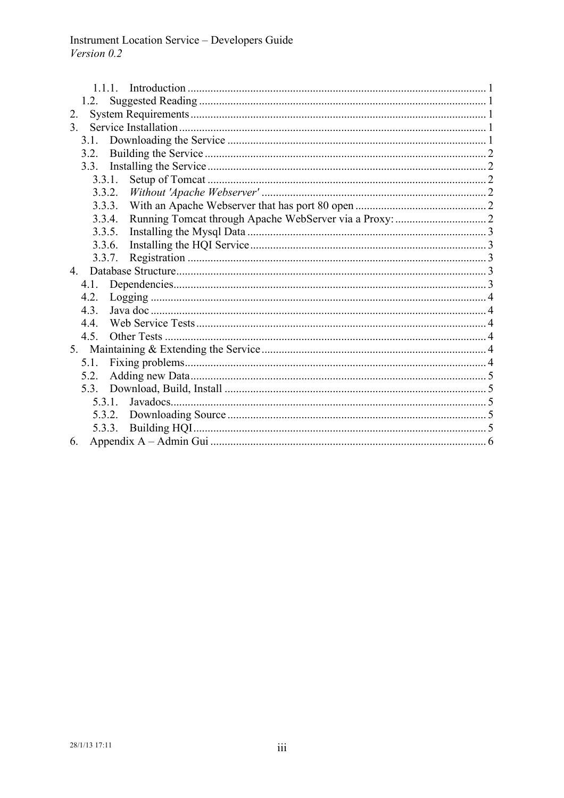| 2.             |  |  |  |
|----------------|--|--|--|
| 3 <sub>1</sub> |  |  |  |
| 3.1.           |  |  |  |
| 3.2.           |  |  |  |
| 3.3.           |  |  |  |
| 3.3.1.         |  |  |  |
| 3.3.2.         |  |  |  |
| 3.3.3.         |  |  |  |
| 3.3.4.         |  |  |  |
| 3.3.5.         |  |  |  |
| 3.3.6.         |  |  |  |
| 3.3.7.         |  |  |  |
| $4_{\cdot}$    |  |  |  |
| 4.1.           |  |  |  |
| 4.2.           |  |  |  |
| 4.3.           |  |  |  |
| 4.4.           |  |  |  |
| 4.5.           |  |  |  |
|                |  |  |  |
| 5.1.           |  |  |  |
| 5.2.           |  |  |  |
|                |  |  |  |
| 5.3.1          |  |  |  |
|                |  |  |  |
| 5.3.3.         |  |  |  |
| 6.             |  |  |  |
|                |  |  |  |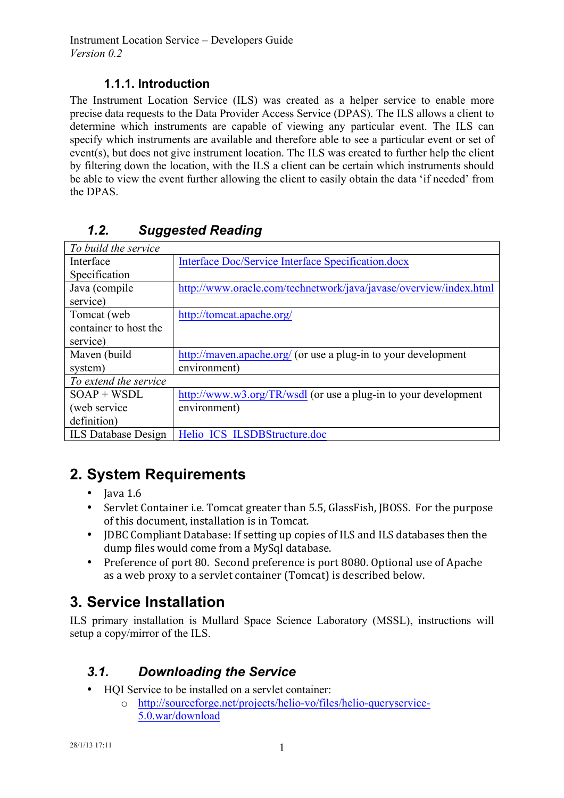### **1.1.1. Introduction**

The Instrument Location Service (ILS) was created as a helper service to enable more precise data requests to the Data Provider Access Service (DPAS). The ILS allows a client to determine which instruments are capable of viewing any particular event. The ILS can specify which instruments are available and therefore able to see a particular event or set of event(s), but does not give instrument location. The ILS was created to further help the client by filtering down the location, with the ILS a client can be certain which instruments should be able to view the event further allowing the client to easily obtain the data 'if needed' from the DPAS.

| To build the service       |                                                                   |
|----------------------------|-------------------------------------------------------------------|
| Interface                  | Interface Doc/Service Interface Specification.docx                |
| Specification              |                                                                   |
| Java (compile              | http://www.oracle.com/technetwork/java/javase/overview/index.html |
| service)                   |                                                                   |
| Tomcat (web)               | http://tomcat.apache.org/                                         |
| container to host the      |                                                                   |
| service)                   |                                                                   |
| Maven (build               | http://maven.apache.org/ (or use a plug-in to your development    |
| system)                    | environment)                                                      |
| To extend the service      |                                                                   |
| $SOAP + WSDL$              | http://www.w3.org/TR/wsdl (or use a plug-in to your development   |
| (web service)              | environment)                                                      |
| definition)                |                                                                   |
| <b>ILS</b> Database Design | Helio ICS ILSDBStructure.doc                                      |

### *1.2. Suggested Reading*

# **2. System Requirements**

- Java  $1.6$
- Servlet Container i.e. Tomcat greater than 5.5, GlassFish, JBOSS. For the purpose of this document, installation is in Tomcat.
- JDBC Compliant Database: If setting up copies of ILS and ILS databases then the dump files would come from a MySql database.
- Preference of port 80. Second preference is port 8080. Optional use of Apache as a web proxy to a servlet container (Tomcat) is described below.

# **3. Service Installation**

ILS primary installation is Mullard Space Science Laboratory (MSSL), instructions will setup a copy/mirror of the ILS.

### *3.1. Downloading the Service*

- HQI Service to be installed on a servlet container:
	- o http://sourceforge.net/projects/helio-vo/files/helio-queryservice-5.0.war/download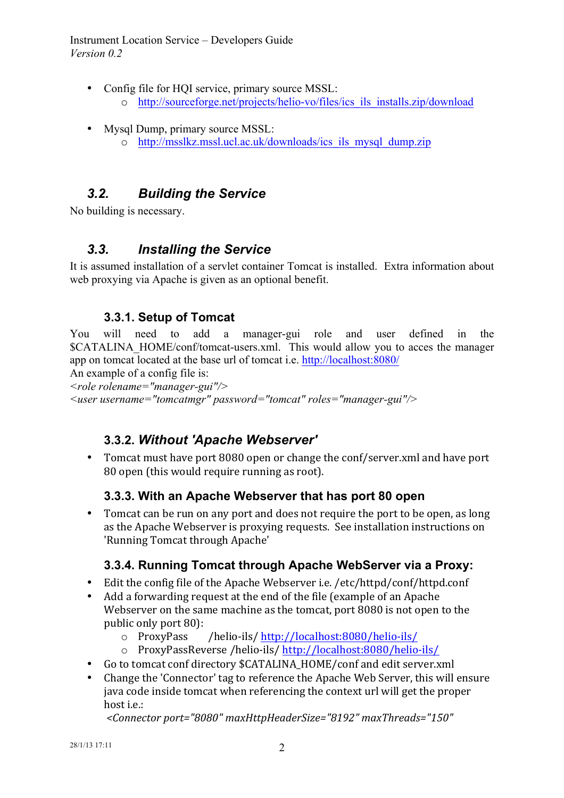- Config file for HQI service, primary source MSSL: o http://sourceforge.net/projects/helio-vo/files/ics\_ils\_installs.zip/download
- Mysql Dump, primary source MSSL: o http://msslkz.mssl.ucl.ac.uk/downloads/ics\_ils\_mysql\_dump.zip

### *3.2. Building the Service*

No building is necessary.

### *3.3. Installing the Service*

It is assumed installation of a servlet container Tomcat is installed. Extra information about web proxying via Apache is given as an optional benefit.

### **3.3.1. Setup of Tomcat**

You will need to add a manager-gui role and user defined in the \$CATALINA\_HOME/conf/tomcat-users.xml. This would allow you to acces the manager app on tomcat located at the base url of tomcat i.e. http://localhost:8080/

An example of a config file is:

*<role rolename="manager-gui"/>*

*<user username="tomcatmgr" password="tomcat" roles="manager-gui"/>*

### **3.3.2.** *Without 'Apache Webserver'*

Tomcat must have port 8080 open or change the conf/server.xml and have port 80 open (this would require running as root).

### **3.3.3. With an Apache Webserver that has port 80 open**

• Tomcat can be run on any port and does not require the port to be open, as long as the Apache Webserver is proxying requests. See installation instructions on 'Running Tomcat through Apache'

### **3.3.4. Running Tomcat through Apache WebServer via a Proxy:**

- Edit the config file of the Apache Webserver i.e.  $/etc/httd/conf/httd.comf$
- Add a forwarding request at the end of the file (example of an Apache Webserver on the same machine as the tomcat, port 8080 is not open to the public only port 80):
	- $\circ$  ProxyPass /helio-ils/ http://localhost:8080/helio-ils/
	- o ProxyPassReverse /helio-ils/ http://localhost:8080/helio-ils/
- Go to tomcat conf directory \$CATALINA HOME/conf and edit server.xml
- Change the 'Connector' tag to reference the Apache Web Server, this will ensure java code inside tomcat when referencing the context url will get the proper host i.e.:

*<Connector port="8080" maxHttpHeaderSize="8192" maxThreads="150"*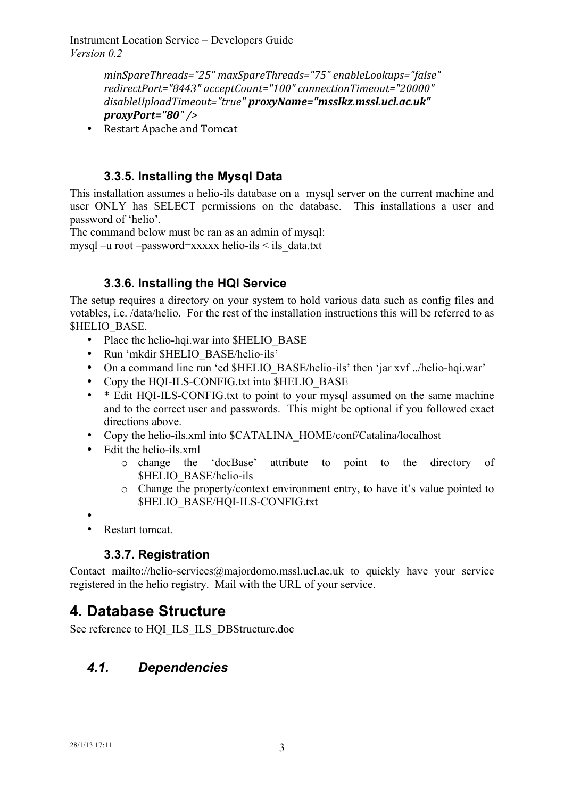> *minSpareThreads="25" maxSpareThreads="75" enableLookups="false" redirectPort="8443" acceptCount="100" connectionTimeout="20000"*  disableUploadTimeout="true" proxyName="msslkz.mssl.ucl.ac.uk" *proxyPort="80" />*

• Restart Apache and Tomcat

### **3.3.5. Installing the Mysql Data**

This installation assumes a helio-ils database on a mysql server on the current machine and user ONLY has SELECT permissions on the database. This installations a user and password of 'helio'.

The command below must be ran as an admin of mysql:

mysql –u root –password=xxxxx helio-ils  $\leq$  ils data.txt

### **3.3.6. Installing the HQI Service**

The setup requires a directory on your system to hold various data such as config files and votables, i.e. /data/helio. For the rest of the installation instructions this will be referred to as \$HELIO\_BASE.

- Place the helio-hqi.war into \$HELIO\_BASE
- Run 'mkdir \$HELIO\_BASE/helio-ils'
- On a command line run 'cd \$HELIO\_BASE/helio-ils' then 'jar xvf ../helio-hqi.war'
- Copy the HOI-ILS-CONFIG.txt into SHELIO BASE
- \* Edit HOI-ILS-CONFIG.txt to point to your mysql assumed on the same machine and to the correct user and passwords. This might be optional if you followed exact directions above.
- Copy the helio-ils.xml into \$CATALINA\_HOME/conf/Catalina/localhost
- Edit the helio-ils.xml<br> $\circ$  change the
	- 'docBase' attribute to point to the directory of \$HELIO\_BASE/helio-ils
	- o Change the property/context environment entry, to have it's value pointed to \$HELIO\_BASE/HQI-ILS-CONFIG.txt

•

• Restart tomcat.

### **3.3.7. Registration**

Contact mailto://helio-services@majordomo.mssl.ucl.ac.uk to quickly have your service registered in the helio registry. Mail with the URL of your service.

### **4. Database Structure**

See reference to HQI\_ILS\_ILS\_DBStructure.doc

### *4.1. Dependencies*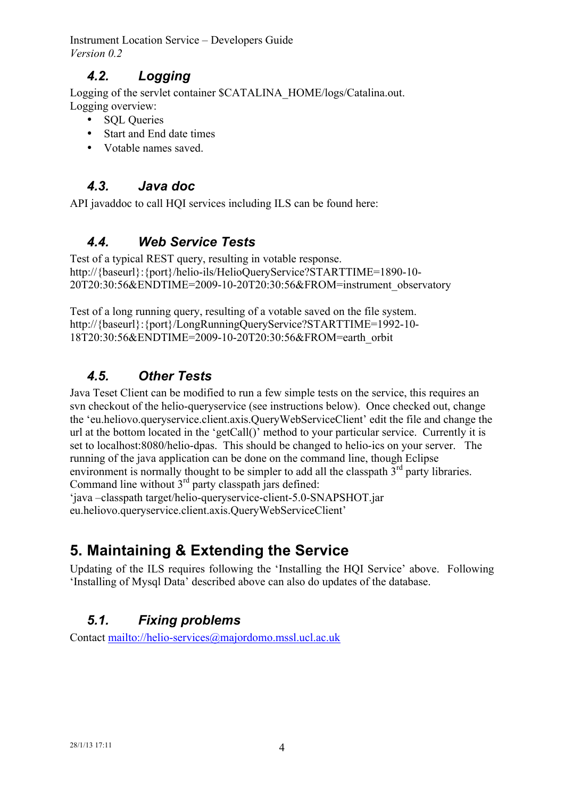### *4.2. Logging*

Logging of the servlet container \$CATALINA\_HOME/logs/Catalina.out. Logging overview:

- SOL Queries
- Start and End date times
- Votable names saved.

### *4.3. Java doc*

API javaddoc to call HOI services including ILS can be found here:

### *4.4. Web Service Tests*

Test of a typical REST query, resulting in votable response. http://{baseurl}:{port}/helio-ils/HelioQueryService?STARTTIME=1890-10- 20T20:30:56&ENDTIME=2009-10-20T20:30:56&FROM=instrument\_observatory

Test of a long running query, resulting of a votable saved on the file system. http://{baseurl}:{port}/LongRunningQueryService?STARTTIME=1992-10- 18T20:30:56&ENDTIME=2009-10-20T20:30:56&FROM=earth\_orbit

### *4.5. Other Tests*

Java Teset Client can be modified to run a few simple tests on the service, this requires an svn checkout of the helio-queryservice (see instructions below). Once checked out, change the 'eu.heliovo.queryservice.client.axis.QueryWebServiceClient' edit the file and change the url at the bottom located in the 'getCall()' method to your particular service. Currently it is set to localhost:8080/helio-dpas. This should be changed to helio-ics on your server. The running of the java application can be done on the command line, though Eclipse environment is normally thought to be simpler to add all the classpath  $3<sup>rd</sup>$  party libraries. Command line without  $3<sup>rd</sup>$  party classpath jars defined:

'java –classpath target/helio-queryservice-client-5.0-SNAPSHOT.jar eu.heliovo.queryservice.client.axis.QueryWebServiceClient'

# **5. Maintaining & Extending the Service**

Updating of the ILS requires following the 'Installing the HQI Service' above. Following 'Installing of Mysql Data' described above can also do updates of the database.

### *5.1. Fixing problems*

Contact mailto://helio-services@majordomo.mssl.ucl.ac.uk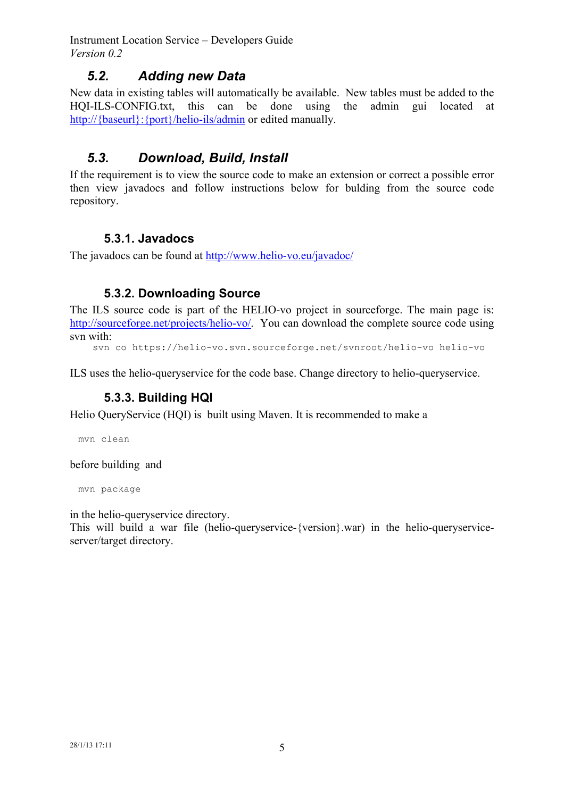### *5.2. Adding new Data*

New data in existing tables will automatically be available. New tables must be added to the HQI-ILS-CONFIG.txt, this can be done using the admin gui located at http://{baseurl}: {port}/helio-ils/admin or edited manually.

### *5.3. Download, Build, Install*

If the requirement is to view the source code to make an extension or correct a possible error then view javadocs and follow instructions below for bulding from the source code repository.

#### **5.3.1. Javadocs**

The javadocs can be found at http://www.helio-vo.eu/javadoc/

#### **5.3.2. Downloading Source**

The ILS source code is part of the HELIO-vo project in sourceforge. The main page is: http://sourceforge.net/projects/helio-vo/. You can download the complete source code using svn with:

svn co https://helio-vo.svn.sourceforge.net/svnroot/helio-vo helio-vo

ILS uses the helio-queryservice for the code base. Change directory to helio-queryservice.

#### **5.3.3. Building HQI**

Helio QueryService (HQI) is built using Maven. It is recommended to make a

mvn clean

before building and

mvn package

in the helio-queryservice directory.

This will build a war file (helio-queryservice-{version}.war) in the helio-queryserviceserver/target directory.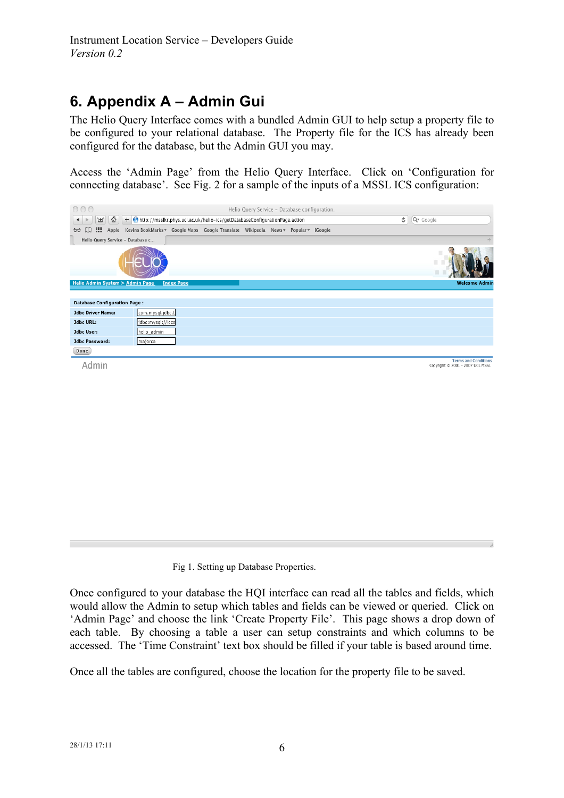## **6. Appendix A – Admin Gui**

The Helio Query Interface comes with a bundled Admin GUI to help setup a property file to be configured to your relational database. The Property file for the ICS has already been configured for the database, but the Admin GUI you may.

Access the 'Admin Page' from the Helio Query Interface. Click on 'Configuration for connecting database'. See Fig. 2 for a sample of the inputs of a MSSL ICS configuration:



Fig 1. Setting up Database Properties.

Once configured to your database the HQI interface can read all the tables and fields, which would allow the Admin to setup which tables and fields can be viewed or queried. Click on 'Admin Page' and choose the link 'Create Property File'. This page shows a drop down of each table. By choosing a table a user can setup constraints and which columns to be accessed. The 'Time Constraint' text box should be filled if your table is based around time.

Once all the tables are configured, choose the location for the property file to be saved.